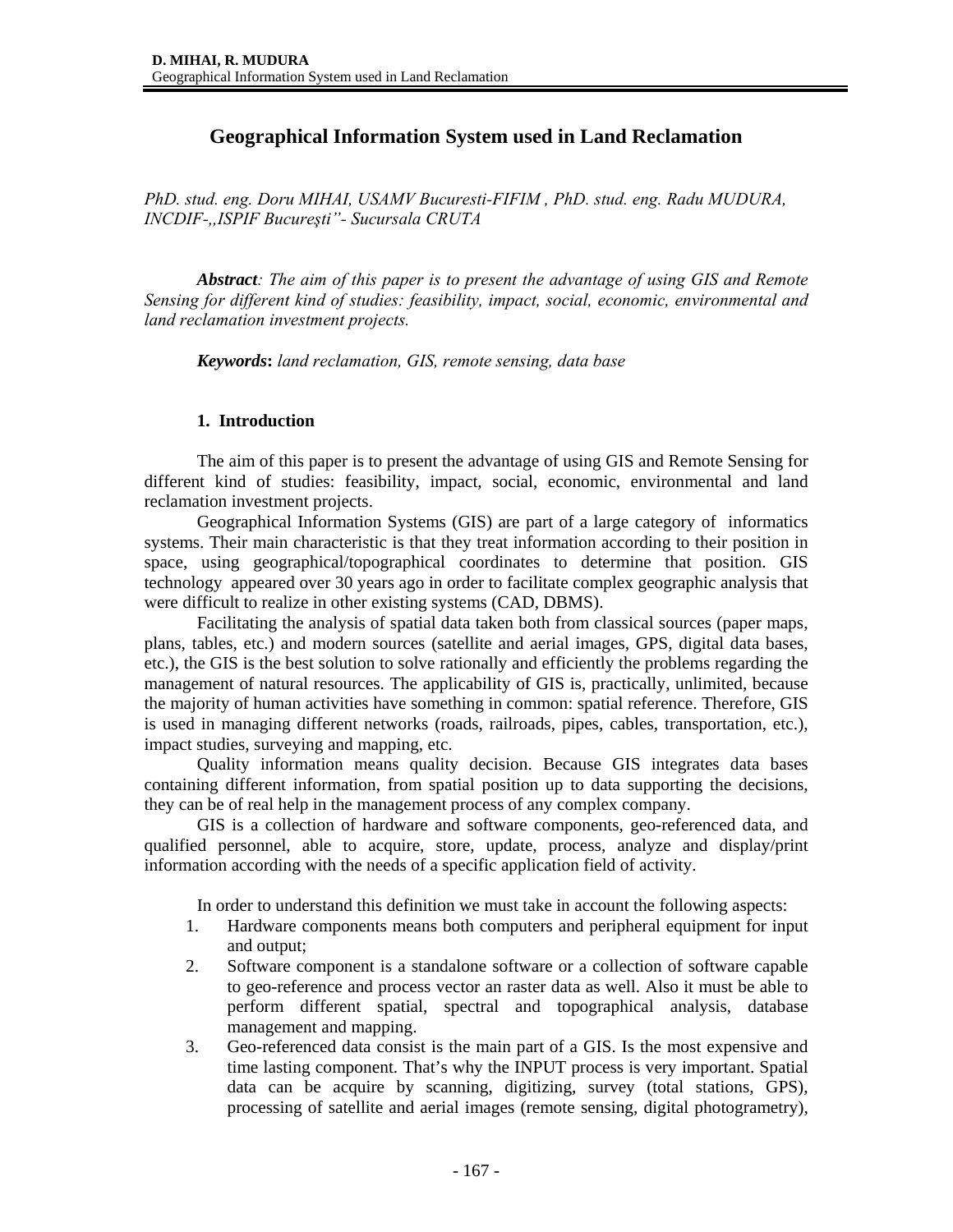# **Geographical Information System used in Land Reclamation**

*PhD. stud. eng. Doru MIHAI, USAMV Bucuresti-FIFIM , PhD. stud. eng. Radu MUDURA, INCDIF-,,ISPIF Bucureşti"- Sucursala CRUTA* 

*Abstract: The aim of this paper is to present the advantage of using GIS and Remote Sensing for different kind of studies: feasibility, impact, social, economic, environmental and land reclamation investment projects.* 

*Keywords***:** *land reclamation, GIS, remote sensing, data base*

### **1. Introduction**

The aim of this paper is to present the advantage of using GIS and Remote Sensing for different kind of studies: feasibility, impact, social, economic, environmental and land reclamation investment projects.

Geographical Information Systems (GIS) are part of a large category of informatics systems. Their main characteristic is that they treat information according to their position in space, using geographical/topographical coordinates to determine that position. GIS technology appeared over 30 years ago in order to facilitate complex geographic analysis that were difficult to realize in other existing systems (CAD, DBMS).

Facilitating the analysis of spatial data taken both from classical sources (paper maps, plans, tables, etc.) and modern sources (satellite and aerial images, GPS, digital data bases, etc.), the GIS is the best solution to solve rationally and efficiently the problems regarding the management of natural resources. The applicability of GIS is, practically, unlimited, because the majority of human activities have something in common: spatial reference. Therefore, GIS is used in managing different networks (roads, railroads, pipes, cables, transportation, etc.), impact studies, surveying and mapping, etc.

Quality information means quality decision. Because GIS integrates data bases containing different information, from spatial position up to data supporting the decisions, they can be of real help in the management process of any complex company.

GIS is a collection of hardware and software components, geo-referenced data, and qualified personnel, able to acquire, store, update, process, analyze and display/print information according with the needs of a specific application field of activity.

In order to understand this definition we must take in account the following aspects:

- 1. Hardware components means both computers and peripheral equipment for input and output;
- 2. Software component is a standalone software or a collection of software capable to geo-reference and process vector an raster data as well. Also it must be able to perform different spatial, spectral and topographical analysis, database management and mapping.
- 3. Geo-referenced data consist is the main part of a GIS. Is the most expensive and time lasting component. That's why the INPUT process is very important. Spatial data can be acquire by scanning, digitizing, survey (total stations, GPS), processing of satellite and aerial images (remote sensing, digital photogrametry),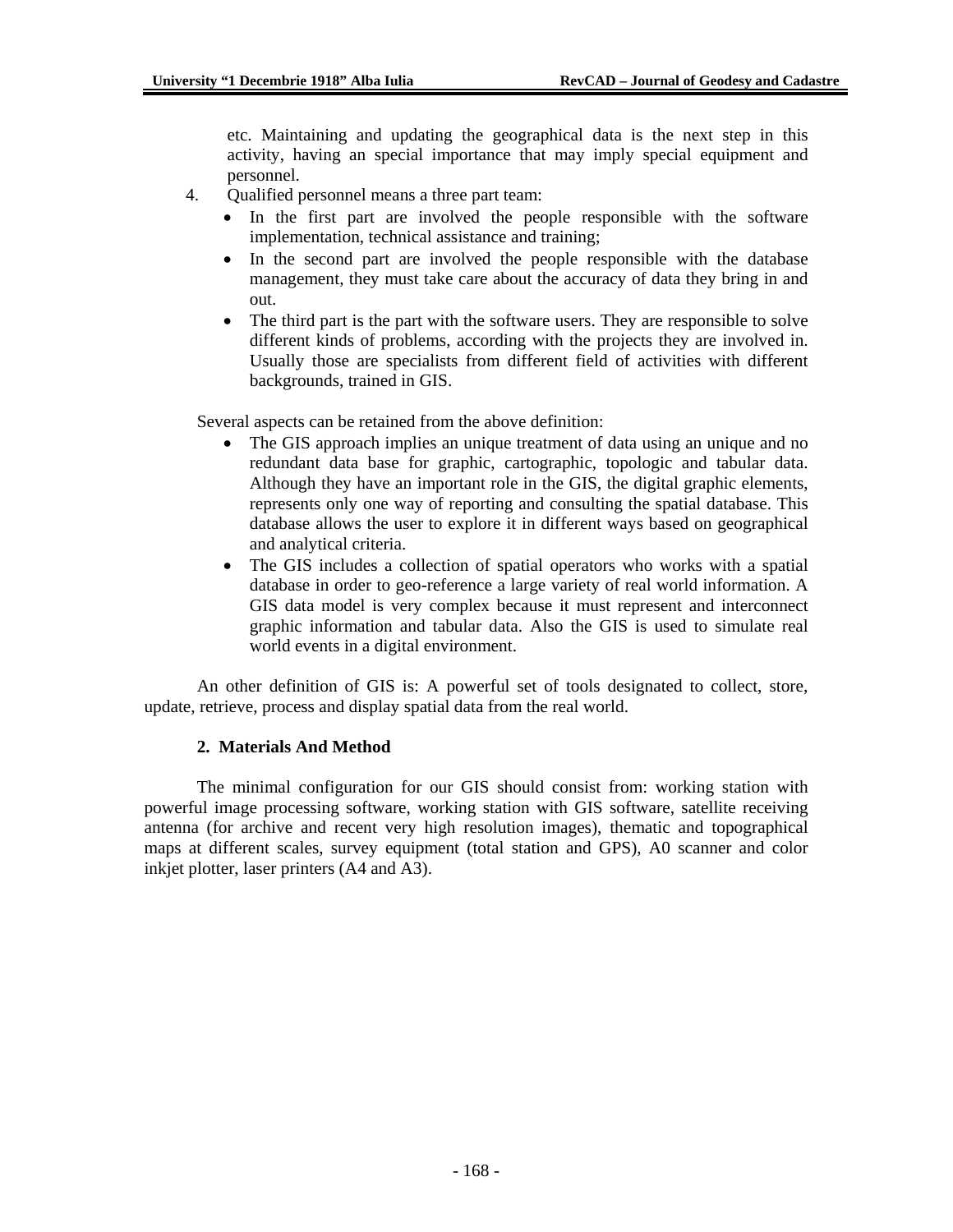etc. Maintaining and updating the geographical data is the next step in this activity, having an special importance that may imply special equipment and personnel.

- 4. Qualified personnel means a three part team:
	- In the first part are involved the people responsible with the software implementation, technical assistance and training;
	- In the second part are involved the people responsible with the database management, they must take care about the accuracy of data they bring in and out.
	- The third part is the part with the software users. They are responsible to solve different kinds of problems, according with the projects they are involved in. Usually those are specialists from different field of activities with different backgrounds, trained in GIS.

Several aspects can be retained from the above definition:

- The GIS approach implies an unique treatment of data using an unique and no redundant data base for graphic, cartographic, topologic and tabular data. Although they have an important role in the GIS, the digital graphic elements, represents only one way of reporting and consulting the spatial database. This database allows the user to explore it in different ways based on geographical and analytical criteria.
- The GIS includes a collection of spatial operators who works with a spatial database in order to geo-reference a large variety of real world information. A GIS data model is very complex because it must represent and interconnect graphic information and tabular data. Also the GIS is used to simulate real world events in a digital environment.

An other definition of GIS is: A powerful set of tools designated to collect, store, update, retrieve, process and display spatial data from the real world.

### **2. Materials And Method**

 The minimal configuration for our GIS should consist from: working station with powerful image processing software, working station with GIS software, satellite receiving antenna (for archive and recent very high resolution images), thematic and topographical maps at different scales, survey equipment (total station and GPS), A0 scanner and color inkjet plotter, laser printers (A4 and A3).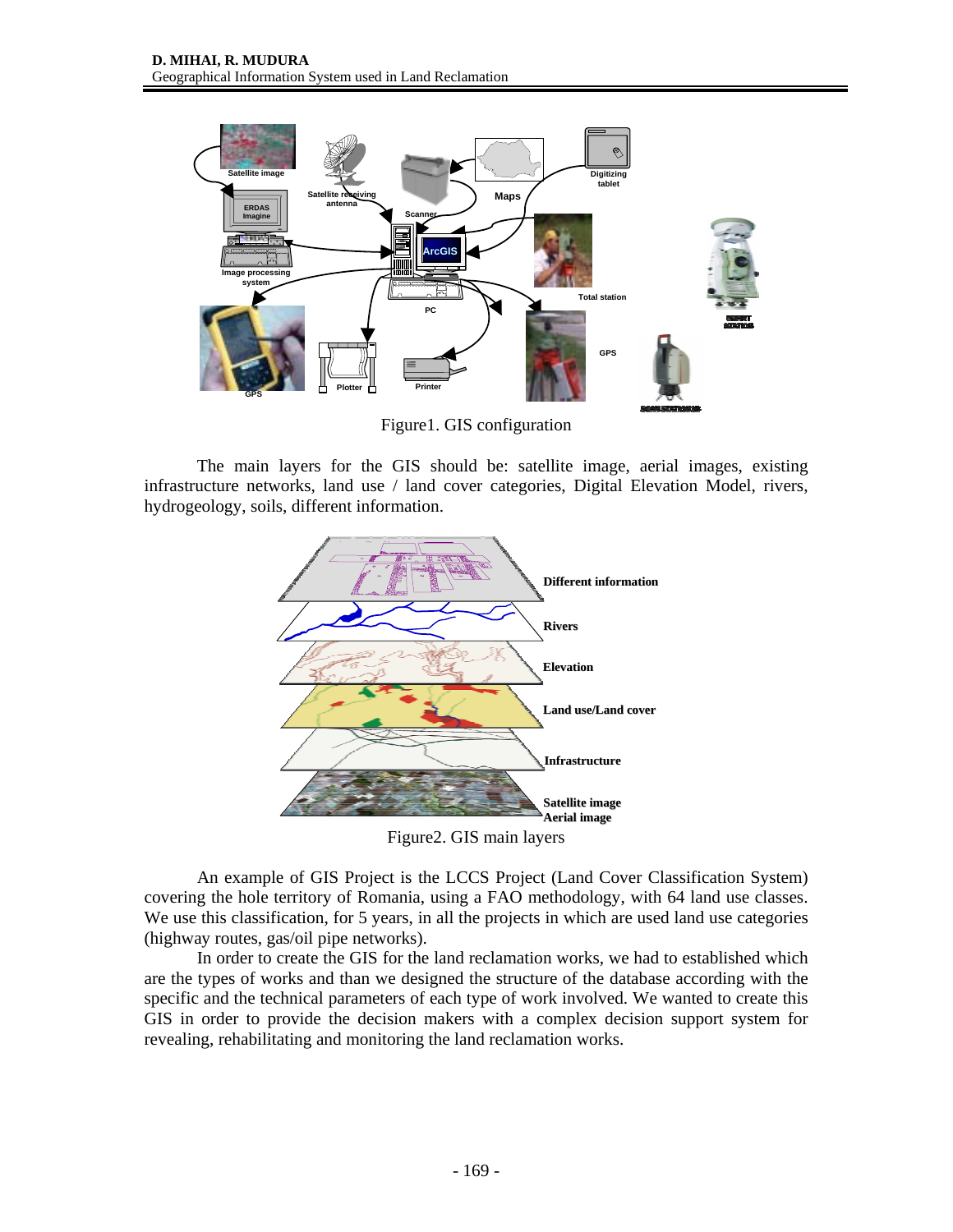

Figure1. GIS configuration

 The main layers for the GIS should be: satellite image, aerial images, existing infrastructure networks, land use / land cover categories, Digital Elevation Model, rivers, hydrogeology, soils, different information.



 An example of GIS Project is the LCCS Project (Land Cover Classification System) covering the hole territory of Romania, using a FAO methodology, with 64 land use classes. We use this classification, for 5 years, in all the projects in which are used land use categories (highway routes, gas/oil pipe networks).

 In order to create the GIS for the land reclamation works, we had to established which are the types of works and than we designed the structure of the database according with the specific and the technical parameters of each type of work involved. We wanted to create this GIS in order to provide the decision makers with a complex decision support system for revealing, rehabilitating and monitoring the land reclamation works.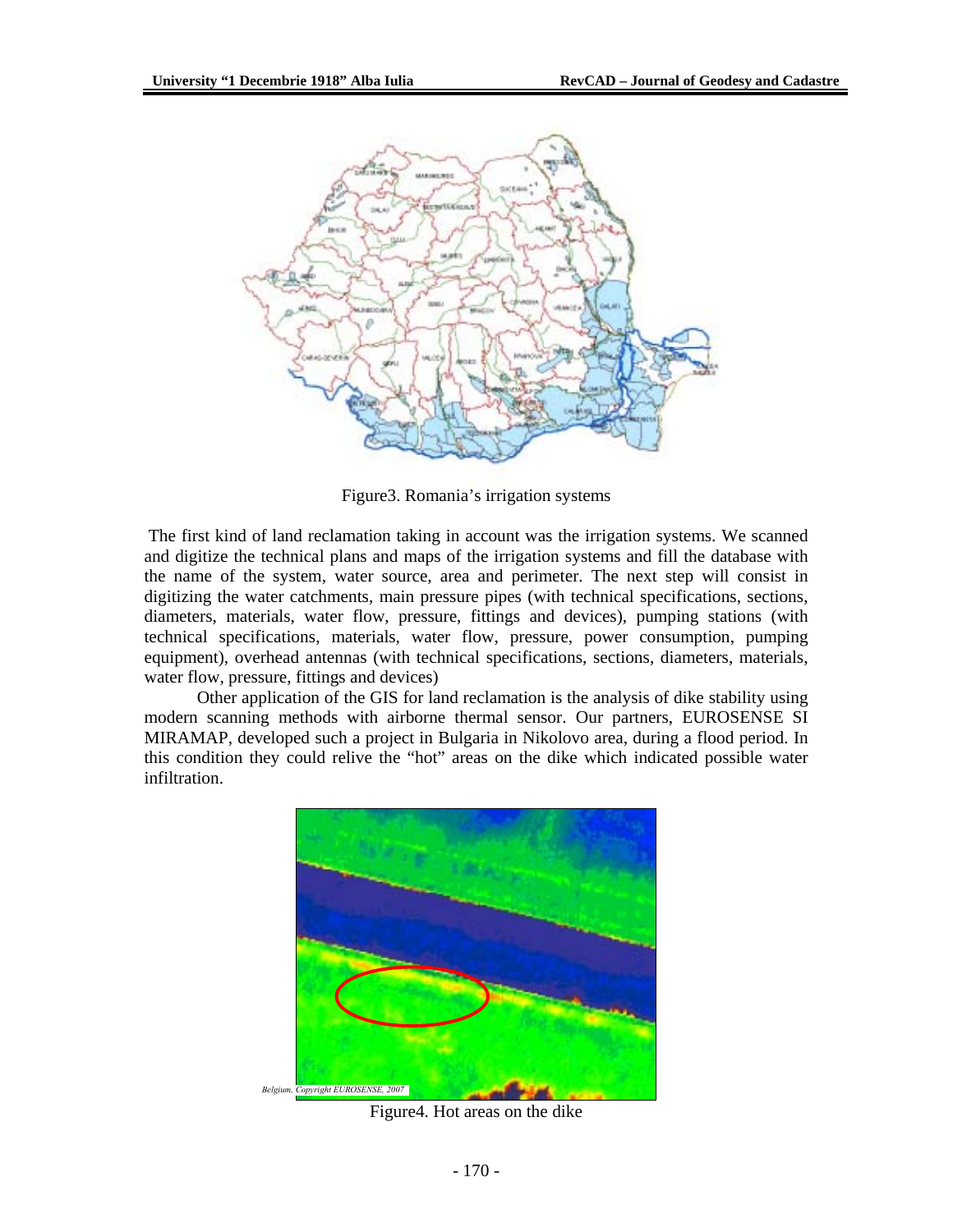

Figure3. Romania's irrigation systems

 The first kind of land reclamation taking in account was the irrigation systems. We scanned and digitize the technical plans and maps of the irrigation systems and fill the database with the name of the system, water source, area and perimeter. The next step will consist in digitizing the water catchments, main pressure pipes (with technical specifications, sections, diameters, materials, water flow, pressure, fittings and devices), pumping stations (with technical specifications, materials, water flow, pressure, power consumption, pumping equipment), overhead antennas (with technical specifications, sections, diameters, materials, water flow, pressure, fittings and devices)

 Other application of the GIS for land reclamation is the analysis of dike stability using modern scanning methods with airborne thermal sensor. Our partners, EUROSENSE SI MIRAMAP, developed such a project in Bulgaria in Nikolovo area, during a flood period. In this condition they could relive the "hot" areas on the dike which indicated possible water infiltration.



Figure4. Hot areas on the dike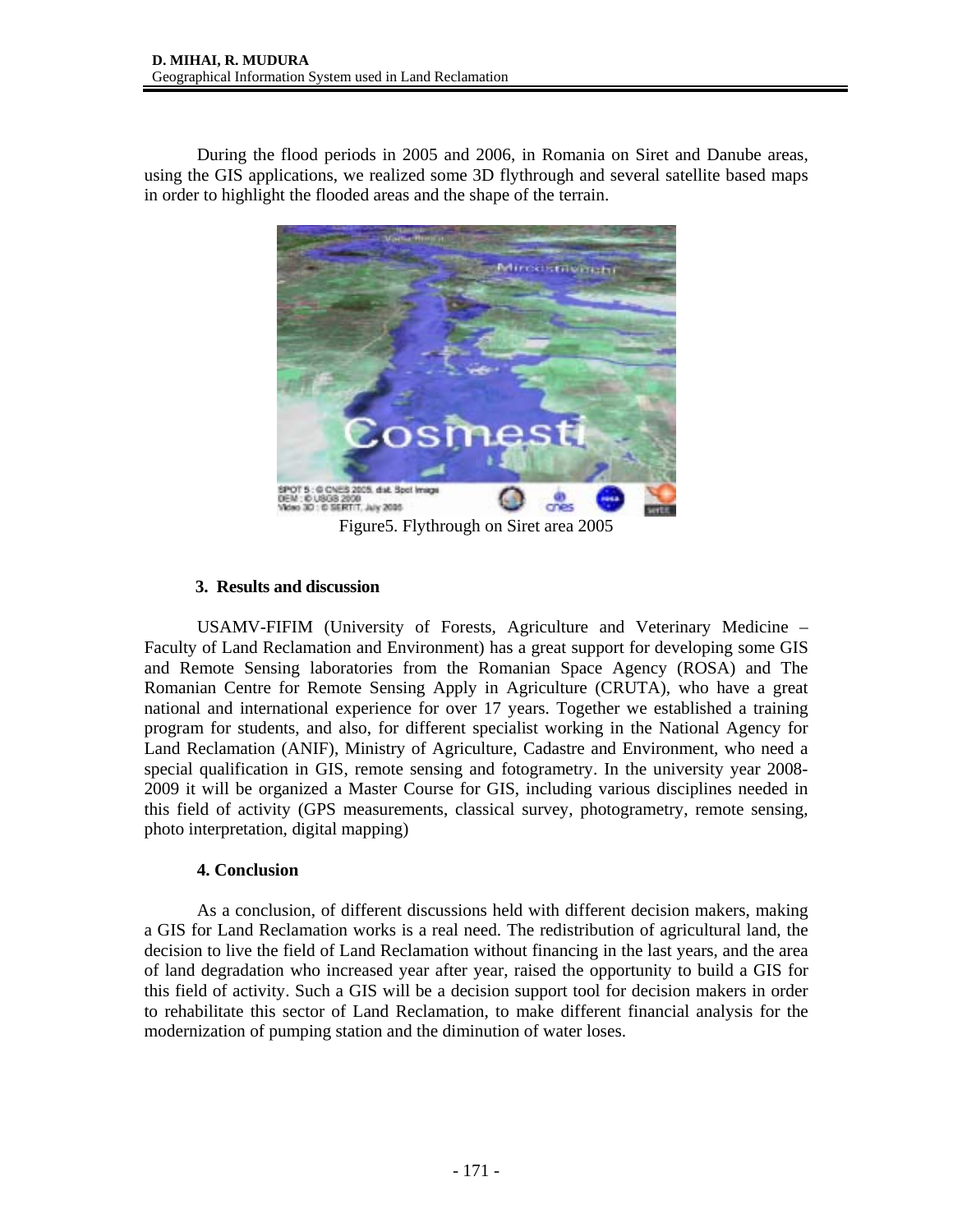During the flood periods in 2005 and 2006, in Romania on Siret and Danube areas, using the GIS applications, we realized some 3D flythrough and several satellite based maps in order to highlight the flooded areas and the shape of the terrain.



**3. Results and discussion** 

 USAMV-FIFIM (University of Forests, Agriculture and Veterinary Medicine – Faculty of Land Reclamation and Environment) has a great support for developing some GIS and Remote Sensing laboratories from the Romanian Space Agency (ROSA) and The Romanian Centre for Remote Sensing Apply in Agriculture (CRUTA), who have a great national and international experience for over 17 years. Together we established a training program for students, and also, for different specialist working in the National Agency for Land Reclamation (ANIF), Ministry of Agriculture, Cadastre and Environment, who need a special qualification in GIS, remote sensing and fotogrametry. In the university year 2008- 2009 it will be organized a Master Course for GIS, including various disciplines needed in this field of activity (GPS measurements, classical survey, photogrametry, remote sensing, photo interpretation, digital mapping)

## **4. Conclusion**

As a conclusion, of different discussions held with different decision makers, making a GIS for Land Reclamation works is a real need. The redistribution of agricultural land, the decision to live the field of Land Reclamation without financing in the last years, and the area of land degradation who increased year after year, raised the opportunity to build a GIS for this field of activity. Such a GIS will be a decision support tool for decision makers in order to rehabilitate this sector of Land Reclamation, to make different financial analysis for the modernization of pumping station and the diminution of water loses.